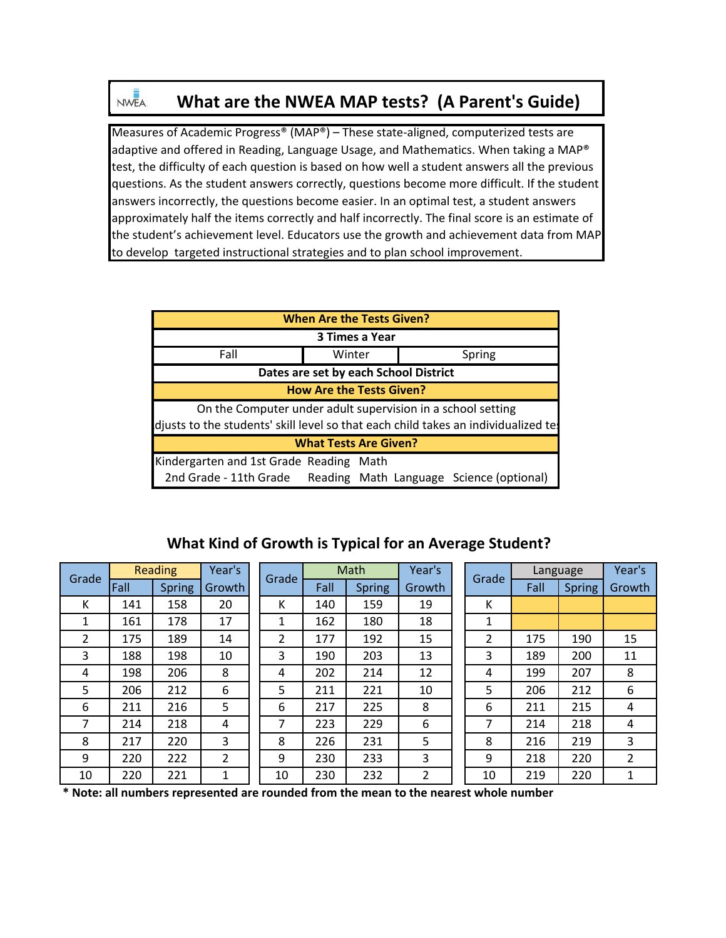# **What are the NWEA MAP tests? (A Parent's Guide)**

Measures of Academic Progress® (MAP®) – These state‐aligned, computerized tests are adaptive and offered in Reading, Language Usage, and Mathematics. When taking a MAP® test, the difficulty of each question is based on how well a student answers all the previous questions. As the student answers correctly, questions become more difficult. If the student answers incorrectly, the questions become easier. In an optimal test, a student answers approximately half the items correctly and half incorrectly. The final score is an estimate of the student's achievement level. Educators use the growth and achievement data from MAP to develop targeted instructional strategies and to plan school improvement.

| <b>When Are the Tests Given?</b>                                                   |                                       |  |  |  |  |  |  |  |  |  |  |
|------------------------------------------------------------------------------------|---------------------------------------|--|--|--|--|--|--|--|--|--|--|
| 3 Times a Year                                                                     |                                       |  |  |  |  |  |  |  |  |  |  |
| Fall<br>Winter<br>Spring                                                           |                                       |  |  |  |  |  |  |  |  |  |  |
|                                                                                    | Dates are set by each School District |  |  |  |  |  |  |  |  |  |  |
| <b>How Are the Tests Given?</b>                                                    |                                       |  |  |  |  |  |  |  |  |  |  |
| On the Computer under adult supervision in a school setting                        |                                       |  |  |  |  |  |  |  |  |  |  |
| djusts to the students' skill level so that each child takes an individualized te: |                                       |  |  |  |  |  |  |  |  |  |  |
| <b>What Tests Are Given?</b>                                                       |                                       |  |  |  |  |  |  |  |  |  |  |
| Kindergarten and 1st Grade Reading Math                                            |                                       |  |  |  |  |  |  |  |  |  |  |
| 2nd Grade - 11th Grade Reading Math Language Science (optional)                    |                                       |  |  |  |  |  |  |  |  |  |  |

## **What Kind of Growth is Typical for an Average Student?**

| Grade          |      | <b>Reading</b> | Year's |       |      | Math          | Year's |  |                | Language |               | Year's         |
|----------------|------|----------------|--------|-------|------|---------------|--------|--|----------------|----------|---------------|----------------|
|                | Fall | <b>Spring</b>  | Growth | Grade | Fall | <b>Spring</b> | Growth |  | Grade          | Fall     | <b>Spring</b> | Growth         |
| К              | 141  | 158            | 20     | К     | 140  | 159           | 19     |  | К              |          |               |                |
| 1              | 161  | 178            | 17     | 1     | 162  | 180           | 18     |  | 1              |          |               |                |
| $\overline{2}$ | 175  | 189            | 14     | 2     | 177  | 192           | 15     |  | $\overline{2}$ | 175      | 190           | 15             |
| 3              | 188  | 198            | 10     | 3     | 190  | 203           | 13     |  | 3              | 189      | 200           | 11             |
| 4              | 198  | 206            | 8      | 4     | 202  | 214           | 12     |  | 4              | 199      | 207           | 8              |
| 5              | 206  | 212            | 6      | 5     | 211  | 221           | 10     |  | 5              | 206      | 212           | 6              |
| 6              | 211  | 216            | 5      | 6     | 217  | 225           | 8      |  | 6              | 211      | 215           | 4              |
| 7              | 214  | 218            | 4      | 7     | 223  | 229           | 6      |  | 7              | 214      | 218           | 4              |
| 8              | 217  | 220            | 3      | 8     | 226  | 231           | 5      |  | 8              | 216      | 219           | 3              |
| 9              | 220  | 222            | 2      | 9     | 230  | 233           | 3      |  | 9              | 218      | 220           | $\overline{2}$ |
| 10             | 220  | 221            | 1      | 10    | 230  | 232           | 2      |  | 10             | 219      | 220           | 1              |

**\* Note: all numbers represented are rounded from the mean to the nearest whole number**